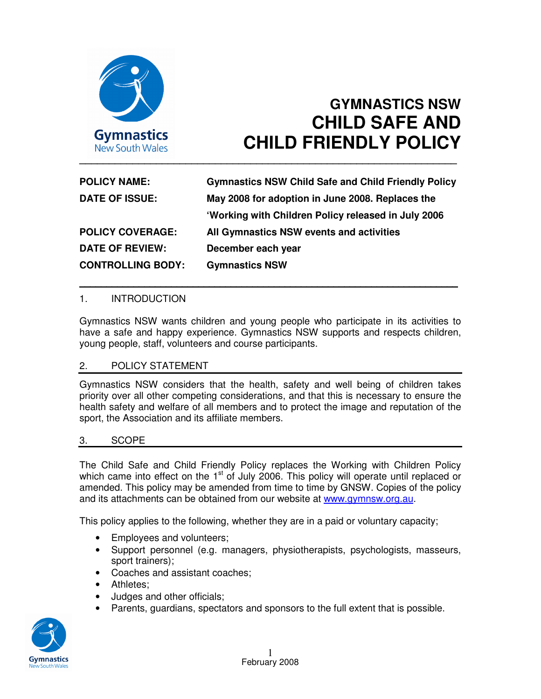

# **GYMNASTICS NSW CHILD SAFE AND CHILD FRIENDLY POLICY**

| <b>POLICY NAME:</b>      | <b>Gymnastics NSW Child Safe and Child Friendly Policy</b> |
|--------------------------|------------------------------------------------------------|
| <b>DATE OF ISSUE:</b>    | May 2008 for adoption in June 2008. Replaces the           |
|                          | 'Working with Children Policy released in July 2006        |
| <b>POLICY COVERAGE:</b>  | All Gymnastics NSW events and activities                   |
| <b>DATE OF REVIEW:</b>   | December each year                                         |
| <b>CONTROLLING BODY:</b> | <b>Gymnastics NSW</b>                                      |

\_\_\_\_\_\_\_\_\_\_\_\_\_\_\_\_\_\_\_\_\_\_\_\_\_\_\_\_\_\_\_\_\_\_\_\_\_\_\_\_\_\_\_\_\_\_\_\_\_\_\_\_\_\_\_\_\_\_\_\_\_\_\_\_\_\_\_\_\_\_

#### 1. INTRODUCTION

Gymnastics NSW wants children and young people who participate in its activities to have a safe and happy experience. Gymnastics NSW supports and respects children, young people, staff, volunteers and course participants.

## 2. POLICY STATEMENT

Gymnastics NSW considers that the health, safety and well being of children takes priority over all other competing considerations, and that this is necessary to ensure the health safety and welfare of all members and to protect the image and reputation of the sport, the Association and its affiliate members.

#### 3. SCOPE

The Child Safe and Child Friendly Policy replaces the Working with Children Policy which came into effect on the 1<sup>st</sup> of July 2006. This policy will operate until replaced or amended. This policy may be amended from time to time by GNSW. Copies of the policy and its attachments can be obtained from our website at www.gymnsw.org.au.

This policy applies to the following, whether they are in a paid or voluntary capacity;

- Employees and volunteers;
- Support personnel (e.g. managers, physiotherapists, psychologists, masseurs, sport trainers);
- Coaches and assistant coaches;
- Athletes;
- Judges and other officials;
- Parents, guardians, spectators and sponsors to the full extent that is possible.

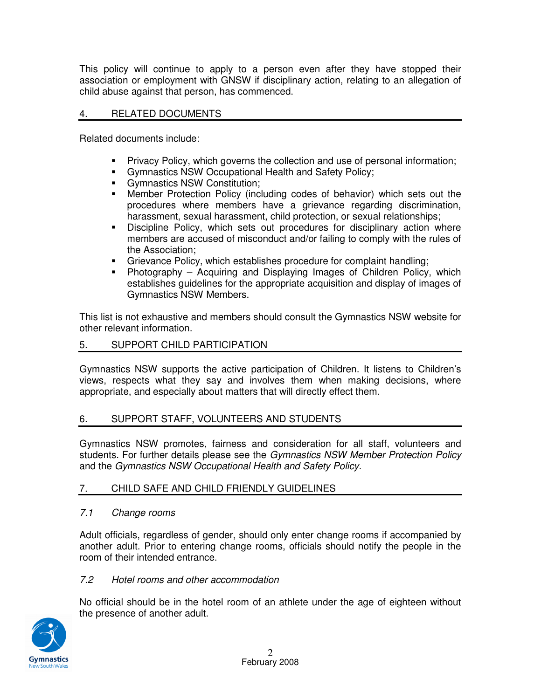This policy will continue to apply to a person even after they have stopped their association or employment with GNSW if disciplinary action, relating to an allegation of child abuse against that person, has commenced.

## 4. RELATED DOCUMENTS

Related documents include:

- Privacy Policy, which governs the collection and use of personal information;
- Gymnastics NSW Occupational Health and Safety Policy;
- Gymnastics NSW Constitution;
- Member Protection Policy (including codes of behavior) which sets out the procedures where members have a grievance regarding discrimination, harassment, sexual harassment, child protection, or sexual relationships;
- Discipline Policy, which sets out procedures for disciplinary action where members are accused of misconduct and/or failing to comply with the rules of the Association;
- **Grievance Policy, which establishes procedure for complaint handling;**<br>**E** Photography Acquiring and Displaying Images of Children Policy
- Photography Acquiring and Displaying Images of Children Policy, which establishes guidelines for the appropriate acquisition and display of images of Gymnastics NSW Members.

This list is not exhaustive and members should consult the Gymnastics NSW website for other relevant information.

## 5. SUPPORT CHILD PARTICIPATION

Gymnastics NSW supports the active participation of Children. It listens to Children's views, respects what they say and involves them when making decisions, where appropriate, and especially about matters that will directly effect them.

## 6. SUPPORT STAFF, VOLUNTEERS AND STUDENTS

Gymnastics NSW promotes, fairness and consideration for all staff, volunteers and students. For further details please see the Gymnastics NSW Member Protection Policy and the Gymnastics NSW Occupational Health and Safety Policy.

## 7. CHILD SAFE AND CHILD FRIENDLY GUIDELINES

## 7.1 Change rooms

Adult officials, regardless of gender, should only enter change rooms if accompanied by another adult. Prior to entering change rooms, officials should notify the people in the room of their intended entrance.

## 7.2 Hotel rooms and other accommodation

No official should be in the hotel room of an athlete under the age of eighteen without the presence of another adult.

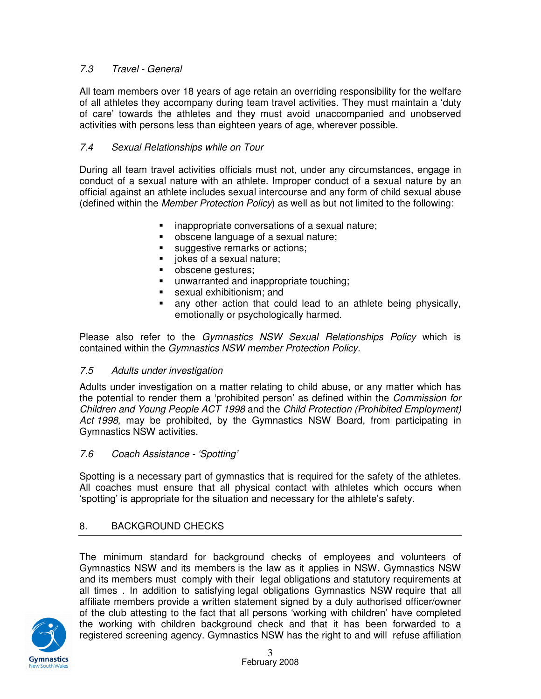## 7.3 Travel - General

All team members over 18 years of age retain an overriding responsibility for the welfare of all athletes they accompany during team travel activities. They must maintain a 'duty of care' towards the athletes and they must avoid unaccompanied and unobserved activities with persons less than eighteen years of age, wherever possible.

## 7.4 Sexual Relationships while on Tour

During all team travel activities officials must not, under any circumstances, engage in conduct of a sexual nature with an athlete. Improper conduct of a sexual nature by an official against an athlete includes sexual intercourse and any form of child sexual abuse (defined within the Member Protection Policy) as well as but not limited to the following:

- **EXEC** inappropriate conversations of a sexual nature;
- obscene language of a sexual nature;
- suggestive remarks or actions;
- jokes of a sexual nature;
- obscene gestures;
- **•** unwarranted and inappropriate touching;
- **sexual exhibitionism: and**
- any other action that could lead to an athlete being physically, emotionally or psychologically harmed.

Please also refer to the Gymnastics NSW Sexual Relationships Policy which is contained within the Gymnastics NSW member Protection Policy.

## 7.5 Adults under investigation

Adults under investigation on a matter relating to child abuse, or any matter which has the potential to render them a 'prohibited person' as defined within the Commission for Children and Young People ACT 1998 and the Child Protection (Prohibited Employment) Act 1998, may be prohibited, by the Gymnastics NSW Board, from participating in Gymnastics NSW activities.

## 7.6 Coach Assistance - 'Spotting'

Spotting is a necessary part of gymnastics that is required for the safety of the athletes. All coaches must ensure that all physical contact with athletes which occurs when 'spotting' is appropriate for the situation and necessary for the athlete's safety.

## 8. BACKGROUND CHECKS

The minimum standard for background checks of employees and volunteers of Gymnastics NSW and its members is the law as it applies in NSW**.** Gymnastics NSW and its members must comply with their legal obligations and statutory requirements at all times . In addition to satisfying legal obligations Gymnastics NSW require that all affiliate members provide a written statement signed by a duly authorised officer/owner of the club attesting to the fact that all persons 'working with children' have completed the working with children background check and that it has been forwarded to a registered screening agency. Gymnastics NSW has the right to and will refuse affiliation